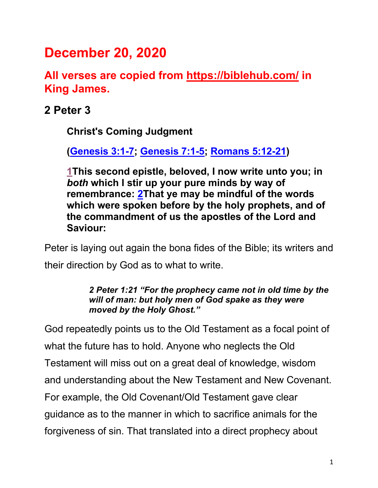# **December 20, 2020**

**All verses are copied from https://biblehub.com/ in King James.** 

**2 Peter 3**

**Christ's Coming Judgment**

**(Genesis 3:1-7; Genesis 7:1-5; Romans 5:12-21)**

**1This second epistle, beloved, I now write unto you; in**  *both* **which I stir up your pure minds by way of remembrance: 2That ye may be mindful of the words which were spoken before by the holy prophets, and of the commandment of us the apostles of the Lord and Saviour:**

Peter is laying out again the bona fides of the Bible; its writers and their direction by God as to what to write.

> *2 Peter 1:21 "For the prophecy came not in old time by the will of man: but holy men of God spake as they were moved by the Holy Ghost."*

God repeatedly points us to the Old Testament as a focal point of what the future has to hold. Anyone who neglects the Old Testament will miss out on a great deal of knowledge, wisdom and understanding about the New Testament and New Covenant. For example, the Old Covenant/Old Testament gave clear guidance as to the manner in which to sacrifice animals for the forgiveness of sin. That translated into a direct prophecy about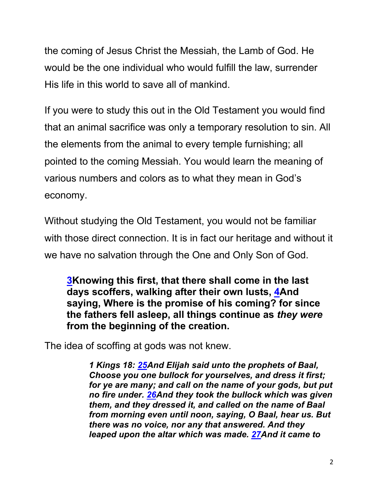the coming of Jesus Christ the Messiah, the Lamb of God. He would be the one individual who would fulfill the law, surrender His life in this world to save all of mankind.

If you were to study this out in the Old Testament you would find that an animal sacrifice was only a temporary resolution to sin. All the elements from the animal to every temple furnishing; all pointed to the coming Messiah. You would learn the meaning of various numbers and colors as to what they mean in God's economy.

Without studying the Old Testament, you would not be familiar with those direct connection. It is in fact our heritage and without it we have no salvation through the One and Only Son of God.

**3Knowing this first, that there shall come in the last days scoffers, walking after their own lusts, 4And saying, Where is the promise of his coming? for since the fathers fell asleep, all things continue as** *they were* **from the beginning of the creation.**

The idea of scoffing at gods was not knew.

*1 Kings 18: 25And Elijah said unto the prophets of Baal, Choose you one bullock for yourselves, and dress it first; for ye are many; and call on the name of your gods, but put no fire under. 26And they took the bullock which was given them, and they dressed it, and called on the name of Baal from morning even until noon, saying, O Baal, hear us. But there was no voice, nor any that answered. And they leaped upon the altar which was made. 27And it came to*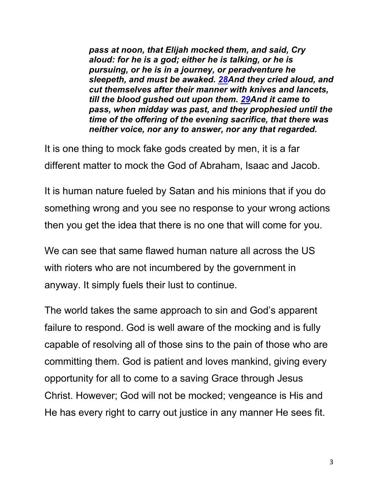*pass at noon, that Elijah mocked them, and said, Cry aloud: for he is a god; either he is talking, or he is pursuing, or he is in a journey, or peradventure he sleepeth, and must be awaked. 28And they cried aloud, and cut themselves after their manner with knives and lancets, till the blood gushed out upon them. 29And it came to pass, when midday was past, and they prophesied until the time of the offering of the evening sacrifice, that there was neither voice, nor any to answer, nor any that regarded.*

It is one thing to mock fake gods created by men, it is a far different matter to mock the God of Abraham, Isaac and Jacob.

It is human nature fueled by Satan and his minions that if you do something wrong and you see no response to your wrong actions then you get the idea that there is no one that will come for you.

We can see that same flawed human nature all across the US with rioters who are not incumbered by the government in anyway. It simply fuels their lust to continue.

The world takes the same approach to sin and God's apparent failure to respond. God is well aware of the mocking and is fully capable of resolving all of those sins to the pain of those who are committing them. God is patient and loves mankind, giving every opportunity for all to come to a saving Grace through Jesus Christ. However; God will not be mocked; vengeance is His and He has every right to carry out justice in any manner He sees fit.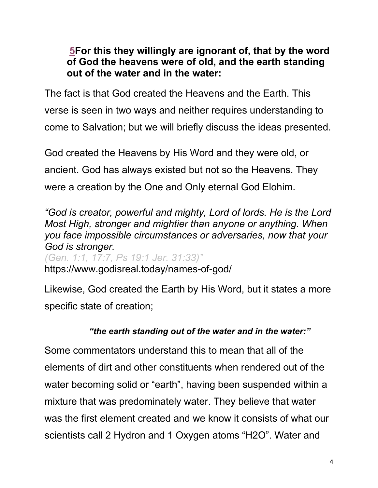### **5For this they willingly are ignorant of, that by the word of God the heavens were of old, and the earth standing out of the water and in the water:**

The fact is that God created the Heavens and the Earth. This verse is seen in two ways and neither requires understanding to come to Salvation; but we will briefly discuss the ideas presented.

God created the Heavens by His Word and they were old, or ancient. God has always existed but not so the Heavens. They were a creation by the One and Only eternal God Elohim.

*"God is creator, powerful and mighty, Lord of lords. He is the Lord Most High, stronger and mightier than anyone or anything. When you face impossible circumstances or adversaries, now that your God is stronger. (Gen. 1:1, 17:7, Ps 19:1 Jer. 31:33)"*

https://www.godisreal.today/names-of-god/

Likewise, God created the Earth by His Word, but it states a more specific state of creation;

# *"the earth standing out of the water and in the water:"*

Some commentators understand this to mean that all of the elements of dirt and other constituents when rendered out of the water becoming solid or "earth", having been suspended within a mixture that was predominately water. They believe that water was the first element created and we know it consists of what our scientists call 2 Hydron and 1 Oxygen atoms "H2O". Water and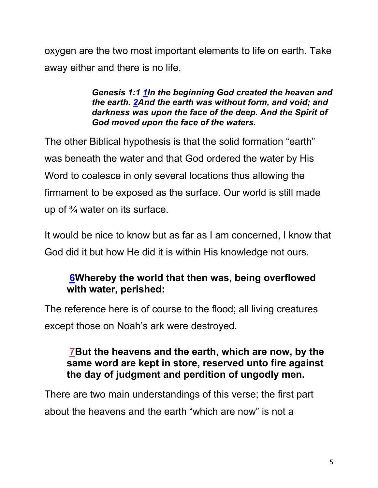oxygen are the two most important elements to life on earth. Take away either and there is no life.

> *Genesis 1:1 1In the beginning God created the heaven and the earth. 2And the earth was without form, and void; and darkness was upon the face of the deep. And the Spirit of God moved upon the face of the waters.*

The other Biblical hypothesis is that the solid formation "earth" was beneath the water and that God ordered the water by His Word to coalesce in only several locations thus allowing the firmament to be exposed as the surface. Our world is still made up of  $\frac{3}{4}$  water on its surface.

It would be nice to know but as far as I am concerned, I know that God did it but how He did it is within His knowledge not ours.

# **6Whereby the world that then was, being overflowed with water, perished:**

The reference here is of course to the flood; all living creatures except those on Noah's ark were destroyed.

### **7But the heavens and the earth, which are now, by the same word are kept in store, reserved unto fire against the day of judgment and perdition of ungodly men.**

There are two main understandings of this verse; the first part about the heavens and the earth "which are now" is not a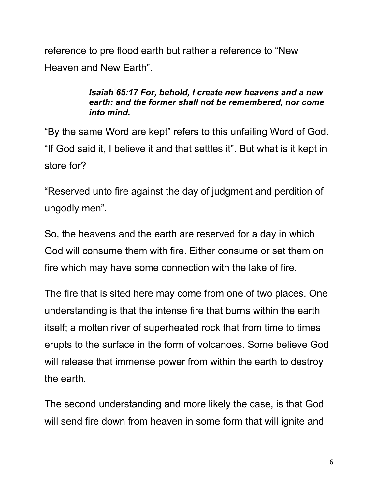reference to pre flood earth but rather a reference to "New Heaven and New Earth".

#### *Isaiah 65:17 For, behold, I create new heavens and a new earth: and the former shall not be remembered, nor come into mind.*

"By the same Word are kept" refers to this unfailing Word of God. "If God said it, I believe it and that settles it". But what is it kept in store for?

"Reserved unto fire against the day of judgment and perdition of ungodly men".

So, the heavens and the earth are reserved for a day in which God will consume them with fire. Either consume or set them on fire which may have some connection with the lake of fire.

The fire that is sited here may come from one of two places. One understanding is that the intense fire that burns within the earth itself; a molten river of superheated rock that from time to times erupts to the surface in the form of volcanoes. Some believe God will release that immense power from within the earth to destroy the earth.

The second understanding and more likely the case, is that God will send fire down from heaven in some form that will ignite and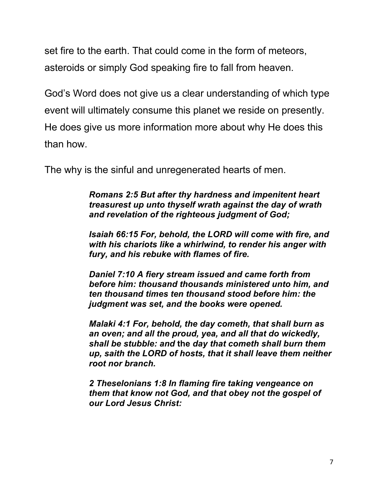set fire to the earth. That could come in the form of meteors, asteroids or simply God speaking fire to fall from heaven.

God's Word does not give us a clear understanding of which type event will ultimately consume this planet we reside on presently. He does give us more information more about why He does this than how.

The why is the sinful and unregenerated hearts of men.

*Romans 2:5 But after thy hardness and impenitent heart treasurest up unto thyself wrath against the day of wrath and revelation of the righteous judgment of God;*

*Isaiah 66:15 For, behold, the LORD will come with fire, and with his chariots like a whirlwind, to render his anger with fury, and his rebuke with flames of fire.*

*Daniel 7:10 A fiery stream issued and came forth from before him: thousand thousands ministered unto him, and ten thousand times ten thousand stood before him: the judgment was set, and the books were opened.*

*Malaki 4:1 For, behold, the day cometh, that shall burn as an oven; and all the proud, yea, and all that do wickedly, shall be stubble: and* **the** *day that cometh shall burn them up, saith the LORD of hosts, that it shall leave them neither root nor branch.*

*2 Theselonians 1:8 In flaming fire taking vengeance on them that know not God, and that obey not the gospel of our Lord Jesus Christ:*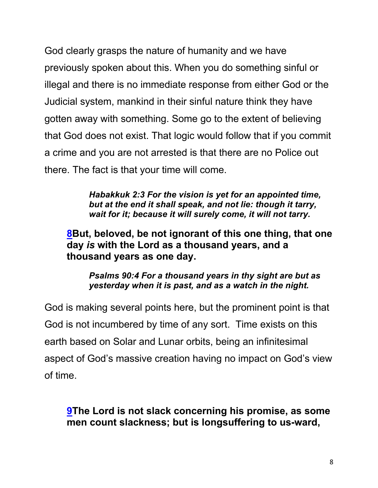God clearly grasps the nature of humanity and we have previously spoken about this. When you do something sinful or illegal and there is no immediate response from either God or the Judicial system, mankind in their sinful nature think they have gotten away with something. Some go to the extent of believing that God does not exist. That logic would follow that if you commit a crime and you are not arrested is that there are no Police out there. The fact is that your time will come.

> *Habakkuk 2:3 For the vision is yet for an appointed time, but at the end it shall speak, and not lie: though it tarry, wait for it; because it will surely come, it will not tarry.*

**8But, beloved, be not ignorant of this one thing, that one day** *is* **with the Lord as a thousand years, and a thousand years as one day.**

*Psalms 90:4 For a thousand years in thy sight are but as yesterday when it is past, and as a watch in the night.*

God is making several points here, but the prominent point is that God is not incumbered by time of any sort. Time exists on this earth based on Solar and Lunar orbits, being an infinitesimal aspect of God's massive creation having no impact on God's view of time.

**9The Lord is not slack concerning his promise, as some men count slackness; but is longsuffering to us-ward,**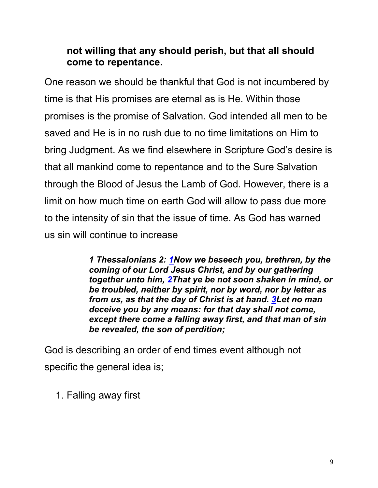### **not willing that any should perish, but that all should come to repentance.**

One reason we should be thankful that God is not incumbered by time is that His promises are eternal as is He. Within those promises is the promise of Salvation. God intended all men to be saved and He is in no rush due to no time limitations on Him to bring Judgment. As we find elsewhere in Scripture God's desire is that all mankind come to repentance and to the Sure Salvation through the Blood of Jesus the Lamb of God. However, there is a limit on how much time on earth God will allow to pass due more to the intensity of sin that the issue of time. As God has warned us sin will continue to increase

> *1 Thessalonians 2: 1Now we beseech you, brethren, by the coming of our Lord Jesus Christ, and by our gathering together unto him, 2That ye be not soon shaken in mind, or be troubled, neither by spirit, nor by word, nor by letter as from us, as that the day of Christ is at hand. 3Let no man deceive you by any means: for that day shall not come, except there come a falling away first, and that man of sin be revealed, the son of perdition;*

God is describing an order of end times event although not specific the general idea is;

1. Falling away first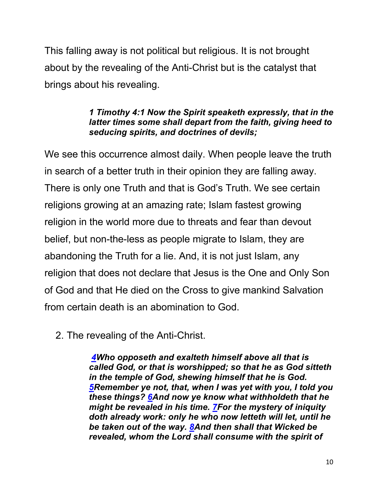This falling away is not political but religious. It is not brought about by the revealing of the Anti-Christ but is the catalyst that brings about his revealing.

#### *1 Timothy 4:1 Now the Spirit speaketh expressly, that in the latter times some shall depart from the faith, giving heed to seducing spirits, and doctrines of devils;*

We see this occurrence almost daily. When people leave the truth in search of a better truth in their opinion they are falling away. There is only one Truth and that is God's Truth. We see certain religions growing at an amazing rate; Islam fastest growing religion in the world more due to threats and fear than devout belief, but non-the-less as people migrate to Islam, they are abandoning the Truth for a lie. And, it is not just Islam, any religion that does not declare that Jesus is the One and Only Son of God and that He died on the Cross to give mankind Salvation from certain death is an abomination to God.

2. The revealing of the Anti-Christ.

*4Who opposeth and exalteth himself above all that is called God, or that is worshipped; so that he as God sitteth in the temple of God, shewing himself that he is God. 5Remember ye not, that, when I was yet with you, I told you these things? 6And now ye know what withholdeth that he might be revealed in his time. 7For the mystery of iniquity doth already work: only he who now letteth will let, until he be taken out of the way. 8And then shall that Wicked be revealed, whom the Lord shall consume with the spirit of*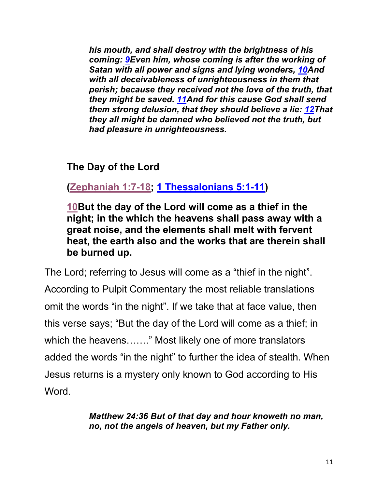*his mouth, and shall destroy with the brightness of his coming: 9Even him, whose coming is after the working of Satan with all power and signs and lying wonders, 10And with all deceivableness of unrighteousness in them that perish; because they received not the love of the truth, that they might be saved. 11And for this cause God shall send them strong delusion, that they should believe a lie: 12That they all might be damned who believed not the truth, but had pleasure in unrighteousness.*

**The Day of the Lord**

**(Zephaniah 1:7-18; 1 Thessalonians 5:1-11)**

**10But the day of the Lord will come as a thief in the night; in the which the heavens shall pass away with a great noise, and the elements shall melt with fervent heat, the earth also and the works that are therein shall be burned up.**

The Lord; referring to Jesus will come as a "thief in the night". According to Pulpit Commentary the most reliable translations omit the words "in the night". If we take that at face value, then this verse says; "But the day of the Lord will come as a thief; in which the heavens……." Most likely one of more translators added the words "in the night" to further the idea of stealth. When Jesus returns is a mystery only known to God according to His Word.

> *Matthew 24:36 But of that day and hour knoweth no man, no, not the angels of heaven, but my Father only.*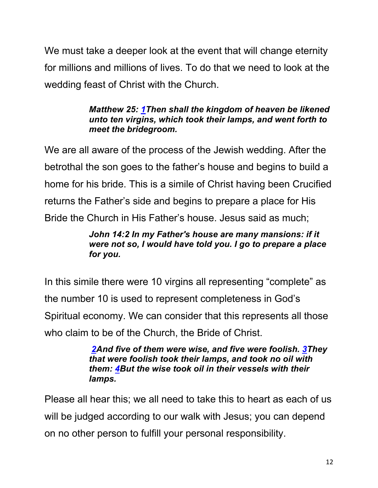We must take a deeper look at the event that will change eternity for millions and millions of lives. To do that we need to look at the wedding feast of Christ with the Church.

### *Matthew 25: 1Then shall the kingdom of heaven be likened unto ten virgins, which took their lamps, and went forth to meet the bridegroom.*

We are all aware of the process of the Jewish wedding. After the betrothal the son goes to the father's house and begins to build a home for his bride. This is a simile of Christ having been Crucified returns the Father's side and begins to prepare a place for His Bride the Church in His Father's house. Jesus said as much;

### *John 14:2 In my Father's house are many mansions: if it were not so, I would have told you. I go to prepare a place for you.*

In this simile there were 10 virgins all representing "complete" as the number 10 is used to represent completeness in God's Spiritual economy. We can consider that this represents all those who claim to be of the Church, the Bride of Christ.

> *2And five of them were wise, and five were foolish. 3They that were foolish took their lamps, and took no oil with them: 4But the wise took oil in their vessels with their lamps.*

Please all hear this; we all need to take this to heart as each of us will be judged according to our walk with Jesus; you can depend on no other person to fulfill your personal responsibility.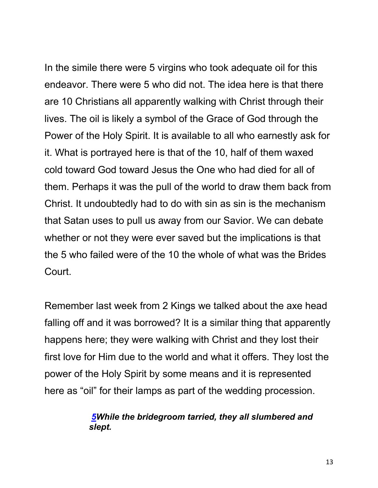In the simile there were 5 virgins who took adequate oil for this endeavor. There were 5 who did not. The idea here is that there are 10 Christians all apparently walking with Christ through their lives. The oil is likely a symbol of the Grace of God through the Power of the Holy Spirit. It is available to all who earnestly ask for it. What is portrayed here is that of the 10, half of them waxed cold toward God toward Jesus the One who had died for all of them. Perhaps it was the pull of the world to draw them back from Christ. It undoubtedly had to do with sin as sin is the mechanism that Satan uses to pull us away from our Savior. We can debate whether or not they were ever saved but the implications is that the 5 who failed were of the 10 the whole of what was the Brides Court.

Remember last week from 2 Kings we talked about the axe head falling off and it was borrowed? It is a similar thing that apparently happens here; they were walking with Christ and they lost their first love for Him due to the world and what it offers. They lost the power of the Holy Spirit by some means and it is represented here as "oil" for their lamps as part of the wedding procession.

#### *5While the bridegroom tarried, they all slumbered and slept.*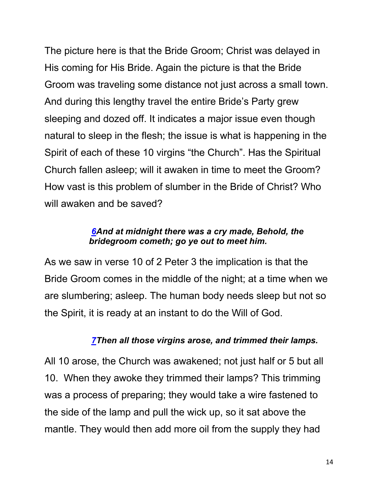The picture here is that the Bride Groom; Christ was delayed in His coming for His Bride. Again the picture is that the Bride Groom was traveling some distance not just across a small town. And during this lengthy travel the entire Bride's Party grew sleeping and dozed off. It indicates a major issue even though natural to sleep in the flesh; the issue is what is happening in the Spirit of each of these 10 virgins "the Church". Has the Spiritual Church fallen asleep; will it awaken in time to meet the Groom? How vast is this problem of slumber in the Bride of Christ? Who will awaken and be saved?

#### *6And at midnight there was a cry made, Behold, the bridegroom cometh; go ye out to meet him.*

As we saw in verse 10 of 2 Peter 3 the implication is that the Bride Groom comes in the middle of the night; at a time when we are slumbering; asleep. The human body needs sleep but not so the Spirit, it is ready at an instant to do the Will of God.

#### *7Then all those virgins arose, and trimmed their lamps.*

All 10 arose, the Church was awakened; not just half or 5 but all 10. When they awoke they trimmed their lamps? This trimming was a process of preparing; they would take a wire fastened to the side of the lamp and pull the wick up, so it sat above the mantle. They would then add more oil from the supply they had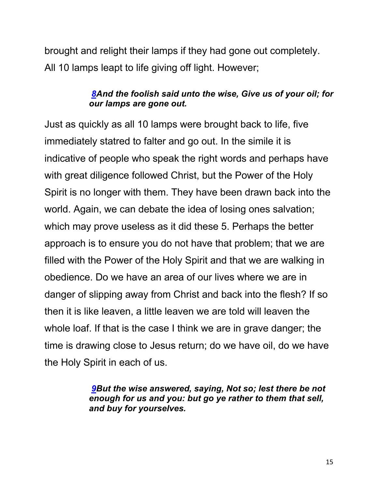brought and relight their lamps if they had gone out completely. All 10 lamps leapt to life giving off light. However;

### *8And the foolish said unto the wise, Give us of your oil; for our lamps are gone out.*

Just as quickly as all 10 lamps were brought back to life, five immediately statred to falter and go out. In the simile it is indicative of people who speak the right words and perhaps have with great diligence followed Christ, but the Power of the Holy Spirit is no longer with them. They have been drawn back into the world. Again, we can debate the idea of losing ones salvation; which may prove useless as it did these 5. Perhaps the better approach is to ensure you do not have that problem; that we are filled with the Power of the Holy Spirit and that we are walking in obedience. Do we have an area of our lives where we are in danger of slipping away from Christ and back into the flesh? If so then it is like leaven, a little leaven we are told will leaven the whole loaf. If that is the case I think we are in grave danger; the time is drawing close to Jesus return; do we have oil, do we have the Holy Spirit in each of us.

> *9But the wise answered, saying, Not so; lest there be not enough for us and you: but go ye rather to them that sell, and buy for yourselves.*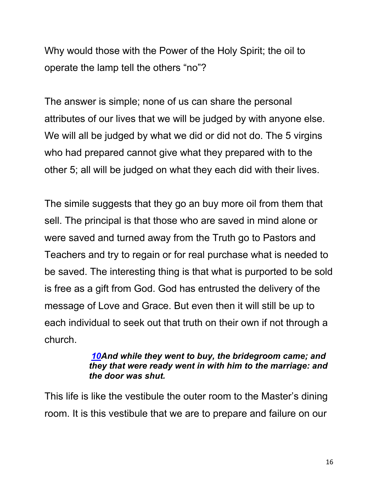Why would those with the Power of the Holy Spirit; the oil to operate the lamp tell the others "no"?

The answer is simple; none of us can share the personal attributes of our lives that we will be judged by with anyone else. We will all be judged by what we did or did not do. The 5 virgins who had prepared cannot give what they prepared with to the other 5; all will be judged on what they each did with their lives.

The simile suggests that they go an buy more oil from them that sell. The principal is that those who are saved in mind alone or were saved and turned away from the Truth go to Pastors and Teachers and try to regain or for real purchase what is needed to be saved. The interesting thing is that what is purported to be sold is free as a gift from God. God has entrusted the delivery of the message of Love and Grace. But even then it will still be up to each individual to seek out that truth on their own if not through a church.

#### *10And while they went to buy, the bridegroom came; and they that were ready went in with him to the marriage: and the door was shut.*

This life is like the vestibule the outer room to the Master's dining room. It is this vestibule that we are to prepare and failure on our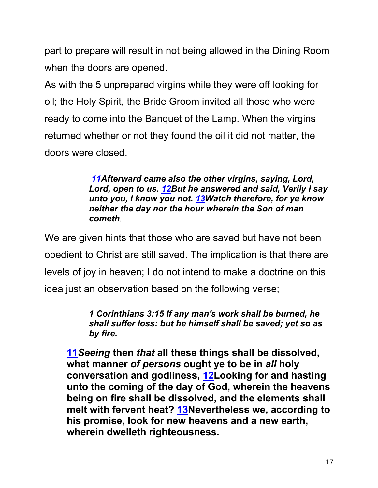part to prepare will result in not being allowed in the Dining Room when the doors are opened.

As with the 5 unprepared virgins while they were off looking for oil; the Holy Spirit, the Bride Groom invited all those who were ready to come into the Banquet of the Lamp. When the virgins returned whether or not they found the oil it did not matter, the doors were closed.

> *11Afterward came also the other virgins, saying, Lord, Lord, open to us. 12But he answered and said, Verily I say unto you, I know you not. 13Watch therefore, for ye know neither the day nor the hour wherein the Son of man cometh*.

We are given hints that those who are saved but have not been obedient to Christ are still saved. The implication is that there are levels of joy in heaven; I do not intend to make a doctrine on this idea just an observation based on the following verse;

> *1 Corinthians 3:15 If any man's work shall be burned, he shall suffer loss: but he himself shall be saved; yet so as by fire.*

**11***Seeing* **then** *that* **all these things shall be dissolved, what manner** *of persons* **ought ye to be in** *all* **holy conversation and godliness, 12Looking for and hasting unto the coming of the day of God, wherein the heavens being on fire shall be dissolved, and the elements shall melt with fervent heat? 13Nevertheless we, according to his promise, look for new heavens and a new earth, wherein dwelleth righteousness.**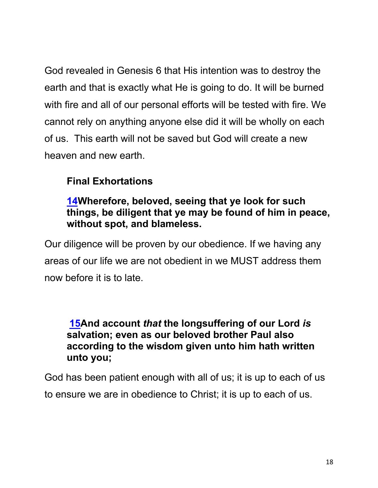God revealed in Genesis 6 that His intention was to destroy the earth and that is exactly what He is going to do. It will be burned with fire and all of our personal efforts will be tested with fire. We cannot rely on anything anyone else did it will be wholly on each of us. This earth will not be saved but God will create a new heaven and new earth.

# **Final Exhortations**

# **14Wherefore, beloved, seeing that ye look for such things, be diligent that ye may be found of him in peace, without spot, and blameless.**

Our diligence will be proven by our obedience. If we having any areas of our life we are not obedient in we MUST address them now before it is to late.

### **15And account** *that* **the longsuffering of our Lord** *is* **salvation; even as our beloved brother Paul also according to the wisdom given unto him hath written unto you;**

God has been patient enough with all of us; it is up to each of us to ensure we are in obedience to Christ; it is up to each of us.